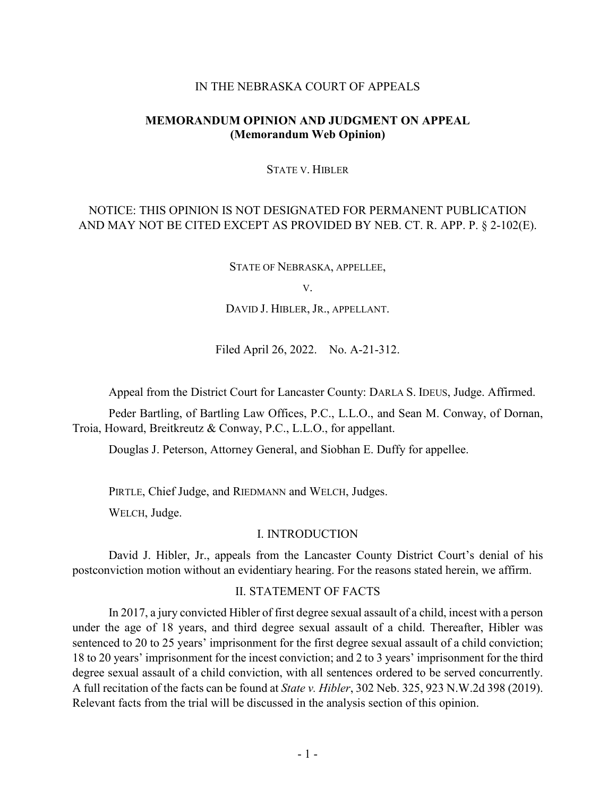#### IN THE NEBRASKA COURT OF APPEALS

## **MEMORANDUM OPINION AND JUDGMENT ON APPEAL (Memorandum Web Opinion)**

#### STATE V. HIBLER

# NOTICE: THIS OPINION IS NOT DESIGNATED FOR PERMANENT PUBLICATION AND MAY NOT BE CITED EXCEPT AS PROVIDED BY NEB. CT. R. APP. P. § 2-102(E).

STATE OF NEBRASKA, APPELLEE,

V.

DAVID J. HIBLER, JR., APPELLANT.

Filed April 26, 2022. No. A-21-312.

Appeal from the District Court for Lancaster County: DARLA S. IDEUS, Judge. Affirmed.

Peder Bartling, of Bartling Law Offices, P.C., L.L.O., and Sean M. Conway, of Dornan, Troia, Howard, Breitkreutz & Conway, P.C., L.L.O., for appellant.

Douglas J. Peterson, Attorney General, and Siobhan E. Duffy for appellee.

PIRTLE, Chief Judge, and RIEDMANN and WELCH, Judges.

WELCH, Judge.

#### I. INTRODUCTION

David J. Hibler, Jr., appeals from the Lancaster County District Court's denial of his postconviction motion without an evidentiary hearing. For the reasons stated herein, we affirm.

#### II. STATEMENT OF FACTS

In 2017, a jury convicted Hibler of first degree sexual assault of a child, incest with a person under the age of 18 years, and third degree sexual assault of a child. Thereafter, Hibler was sentenced to 20 to 25 years' imprisonment for the first degree sexual assault of a child conviction; 18 to 20 years' imprisonment for the incest conviction; and 2 to 3 years' imprisonment for the third degree sexual assault of a child conviction, with all sentences ordered to be served concurrently. A full recitation of the facts can be found at *State v. Hibler*, 302 Neb. 325, 923 N.W.2d 398 (2019). Relevant facts from the trial will be discussed in the analysis section of this opinion.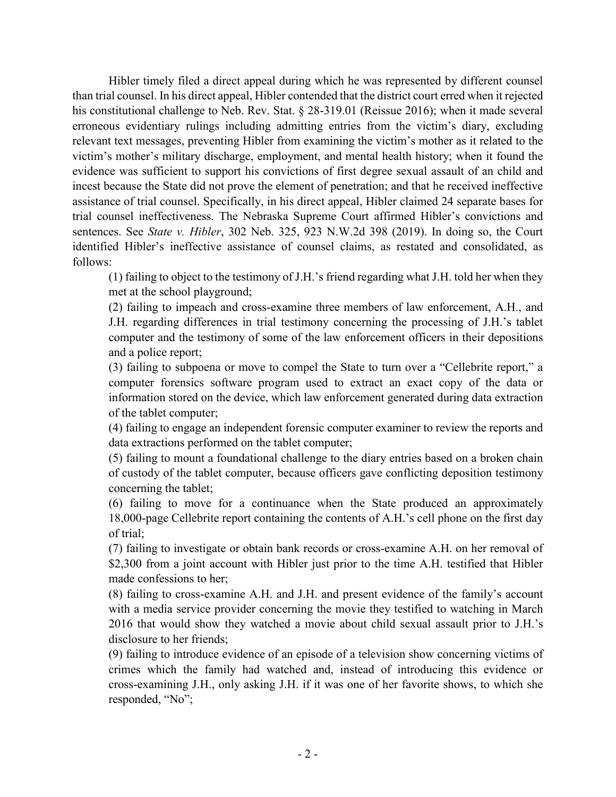Hibler timely filed a direct appeal during which he was represented by different counsel than trial counsel. In his direct appeal, Hibler contended that the district court erred when it rejected his constitutional challenge to Neb. Rev. Stat. § 28-319.01 (Reissue 2016); when it made several erroneous evidentiary rulings including admitting entries from the victim's diary, excluding relevant text messages, preventing Hibler from examining the victim's mother as it related to the victim's mother's military discharge, employment, and mental health history; when it found the evidence was sufficient to support his convictions of first degree sexual assault of an child and incest because the State did not prove the element of penetration; and that he received ineffective assistance of trial counsel. Specifically, in his direct appeal, Hibler claimed 24 separate bases for trial counsel ineffectiveness. The Nebraska Supreme Court affirmed Hibler's convictions and sentences. See *State v. Hibler*, 302 Neb. 325, 923 N.W.2d 398 (2019). In doing so, the Court identified Hibler's ineffective assistance of counsel claims, as restated and consolidated, as follows:

(1) failing to object to the testimony of J.H.'s friend regarding what J.H. told her when they met at the school playground;

(2) failing to impeach and cross-examine three members of law enforcement, A.H., and J.H. regarding differences in trial testimony concerning the processing of J.H.'s tablet computer and the testimony of some of the law enforcement officers in their depositions and a police report;

(3) failing to subpoena or move to compel the State to turn over a "Cellebrite report," a computer forensics software program used to extract an exact copy of the data or information stored on the device, which law enforcement generated during data extraction of the tablet computer;

(4) failing to engage an independent forensic computer examiner to review the reports and data extractions performed on the tablet computer;

(5) failing to mount a foundational challenge to the diary entries based on a broken chain of custody of the tablet computer, because officers gave conflicting deposition testimony concerning the tablet;

(6) failing to move for a continuance when the State produced an approximately 18,000-page Cellebrite report containing the contents of A.H.'s cell phone on the first day of trial;

(7) failing to investigate or obtain bank records or cross-examine A.H. on her removal of \$2,300 from a joint account with Hibler just prior to the time A.H. testified that Hibler made confessions to her;

(8) failing to cross-examine A.H. and J.H. and present evidence of the family's account with a media service provider concerning the movie they testified to watching in March 2016 that would show they watched a movie about child sexual assault prior to J.H.'s disclosure to her friends;

(9) failing to introduce evidence of an episode of a television show concerning victims of crimes which the family had watched and, instead of introducing this evidence or cross-examining J.H., only asking J.H. if it was one of her favorite shows, to which she responded, "No";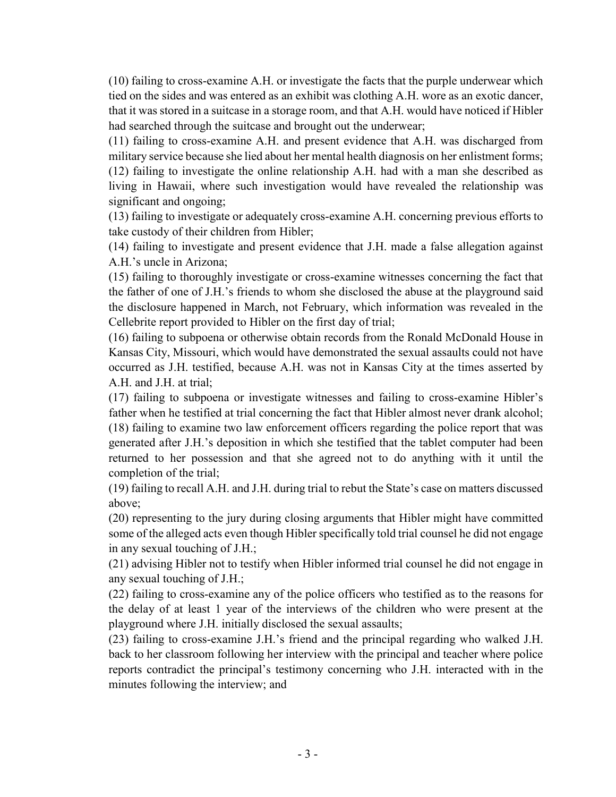(10) failing to cross-examine A.H. or investigate the facts that the purple underwear which tied on the sides and was entered as an exhibit was clothing A.H. wore as an exotic dancer, that it was stored in a suitcase in a storage room, and that A.H. would have noticed if Hibler had searched through the suitcase and brought out the underwear;

(11) failing to cross-examine A.H. and present evidence that A.H. was discharged from military service because she lied about her mental health diagnosis on her enlistment forms; (12) failing to investigate the online relationship A.H. had with a man she described as living in Hawaii, where such investigation would have revealed the relationship was significant and ongoing;

(13) failing to investigate or adequately cross-examine A.H. concerning previous efforts to take custody of their children from Hibler;

(14) failing to investigate and present evidence that J.H. made a false allegation against A.H.'s uncle in Arizona;

(15) failing to thoroughly investigate or cross-examine witnesses concerning the fact that the father of one of J.H.'s friends to whom she disclosed the abuse at the playground said the disclosure happened in March, not February, which information was revealed in the Cellebrite report provided to Hibler on the first day of trial;

(16) failing to subpoena or otherwise obtain records from the Ronald McDonald House in Kansas City, Missouri, which would have demonstrated the sexual assaults could not have occurred as J.H. testified, because A.H. was not in Kansas City at the times asserted by A.H. and J.H. at trial;

(17) failing to subpoena or investigate witnesses and failing to cross-examine Hibler's father when he testified at trial concerning the fact that Hibler almost never drank alcohol; (18) failing to examine two law enforcement officers regarding the police report that was generated after J.H.'s deposition in which she testified that the tablet computer had been returned to her possession and that she agreed not to do anything with it until the completion of the trial;

(19) failing to recall A.H. and J.H. during trial to rebut the State's case on matters discussed above;

(20) representing to the jury during closing arguments that Hibler might have committed some of the alleged acts even though Hibler specifically told trial counsel he did not engage in any sexual touching of J.H.;

(21) advising Hibler not to testify when Hibler informed trial counsel he did not engage in any sexual touching of J.H.;

(22) failing to cross-examine any of the police officers who testified as to the reasons for the delay of at least 1 year of the interviews of the children who were present at the playground where J.H. initially disclosed the sexual assaults;

(23) failing to cross-examine J.H.'s friend and the principal regarding who walked J.H. back to her classroom following her interview with the principal and teacher where police reports contradict the principal's testimony concerning who J.H. interacted with in the minutes following the interview; and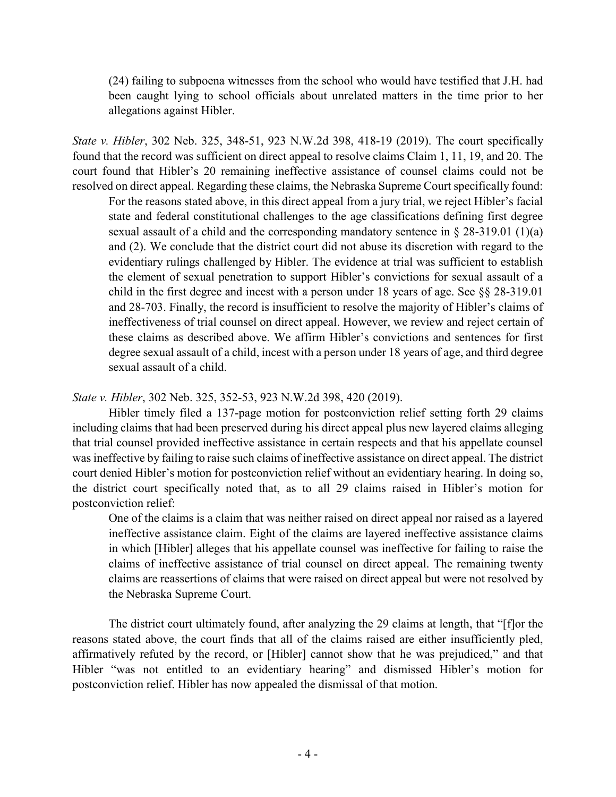(24) failing to subpoena witnesses from the school who would have testified that J.H. had been caught lying to school officials about unrelated matters in the time prior to her allegations against Hibler.

*State v. Hibler*, 302 Neb. 325, 348-51, 923 N.W.2d 398, 418-19 (2019). The court specifically found that the record was sufficient on direct appeal to resolve claims Claim 1, 11, 19, and 20. The court found that Hibler's 20 remaining ineffective assistance of counsel claims could not be resolved on direct appeal. Regarding these claims, the Nebraska Supreme Court specifically found:

For the reasons stated above, in this direct appeal from a jury trial, we reject Hibler's facial state and federal constitutional challenges to the age classifications defining first degree sexual assault of a child and the corresponding mandatory sentence in  $\S 28-319.01$  (1)(a) and (2). We conclude that the district court did not abuse its discretion with regard to the evidentiary rulings challenged by Hibler. The evidence at trial was sufficient to establish the element of sexual penetration to support Hibler's convictions for sexual assault of a child in the first degree and incest with a person under 18 years of age. See §§ 28-319.01 and 28-703. Finally, the record is insufficient to resolve the majority of Hibler's claims of ineffectiveness of trial counsel on direct appeal. However, we review and reject certain of these claims as described above. We affirm Hibler's convictions and sentences for first degree sexual assault of a child, incest with a person under 18 years of age, and third degree sexual assault of a child.

## *State v. Hibler*, 302 Neb. 325, 352-53, 923 N.W.2d 398, 420 (2019).

Hibler timely filed a 137-page motion for postconviction relief setting forth 29 claims including claims that had been preserved during his direct appeal plus new layered claims alleging that trial counsel provided ineffective assistance in certain respects and that his appellate counsel was ineffective by failing to raise such claims of ineffective assistance on direct appeal. The district court denied Hibler's motion for postconviction relief without an evidentiary hearing. In doing so, the district court specifically noted that, as to all 29 claims raised in Hibler's motion for postconviction relief:

One of the claims is a claim that was neither raised on direct appeal nor raised as a layered ineffective assistance claim. Eight of the claims are layered ineffective assistance claims in which [Hibler] alleges that his appellate counsel was ineffective for failing to raise the claims of ineffective assistance of trial counsel on direct appeal. The remaining twenty claims are reassertions of claims that were raised on direct appeal but were not resolved by the Nebraska Supreme Court.

The district court ultimately found, after analyzing the 29 claims at length, that "[f]or the reasons stated above, the court finds that all of the claims raised are either insufficiently pled, affirmatively refuted by the record, or [Hibler] cannot show that he was prejudiced," and that Hibler "was not entitled to an evidentiary hearing" and dismissed Hibler's motion for postconviction relief. Hibler has now appealed the dismissal of that motion.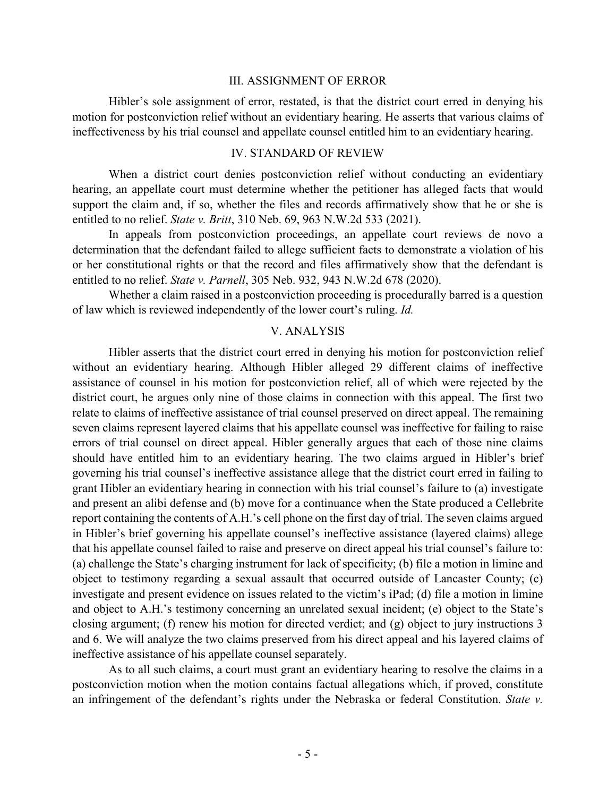#### III. ASSIGNMENT OF ERROR

Hibler's sole assignment of error, restated, is that the district court erred in denying his motion for postconviction relief without an evidentiary hearing. He asserts that various claims of ineffectiveness by his trial counsel and appellate counsel entitled him to an evidentiary hearing.

#### IV. STANDARD OF REVIEW

When a district court denies postconviction relief without conducting an evidentiary hearing, an appellate court must determine whether the petitioner has alleged facts that would support the claim and, if so, whether the files and records affirmatively show that he or she is entitled to no relief. *State v. Britt*, 310 Neb. 69, 963 N.W.2d 533 (2021).

In appeals from postconviction proceedings, an appellate court reviews de novo a determination that the defendant failed to allege sufficient facts to demonstrate a violation of his or her constitutional rights or that the record and files affirmatively show that the defendant is entitled to no relief. *State v. Parnell*, 305 Neb. 932, 943 N.W.2d 678 (2020).

Whether a claim raised in a postconviction proceeding is procedurally barred is a question of law which is reviewed independently of the lower court's ruling. *Id.*

#### V. ANALYSIS

Hibler asserts that the district court erred in denying his motion for postconviction relief without an evidentiary hearing. Although Hibler alleged 29 different claims of ineffective assistance of counsel in his motion for postconviction relief, all of which were rejected by the district court, he argues only nine of those claims in connection with this appeal. The first two relate to claims of ineffective assistance of trial counsel preserved on direct appeal. The remaining seven claims represent layered claims that his appellate counsel was ineffective for failing to raise errors of trial counsel on direct appeal. Hibler generally argues that each of those nine claims should have entitled him to an evidentiary hearing. The two claims argued in Hibler's brief governing his trial counsel's ineffective assistance allege that the district court erred in failing to grant Hibler an evidentiary hearing in connection with his trial counsel's failure to (a) investigate and present an alibi defense and (b) move for a continuance when the State produced a Cellebrite report containing the contents of A.H.'s cell phone on the first day of trial. The seven claims argued in Hibler's brief governing his appellate counsel's ineffective assistance (layered claims) allege that his appellate counsel failed to raise and preserve on direct appeal his trial counsel's failure to: (a) challenge the State's charging instrument for lack of specificity; (b) file a motion in limine and object to testimony regarding a sexual assault that occurred outside of Lancaster County; (c) investigate and present evidence on issues related to the victim's iPad; (d) file a motion in limine and object to A.H.'s testimony concerning an unrelated sexual incident; (e) object to the State's closing argument; (f) renew his motion for directed verdict; and (g) object to jury instructions 3 and 6. We will analyze the two claims preserved from his direct appeal and his layered claims of ineffective assistance of his appellate counsel separately.

As to all such claims, a court must grant an evidentiary hearing to resolve the claims in a postconviction motion when the motion contains factual allegations which, if proved, constitute an infringement of the defendant's rights under the Nebraska or federal Constitution. *State v.*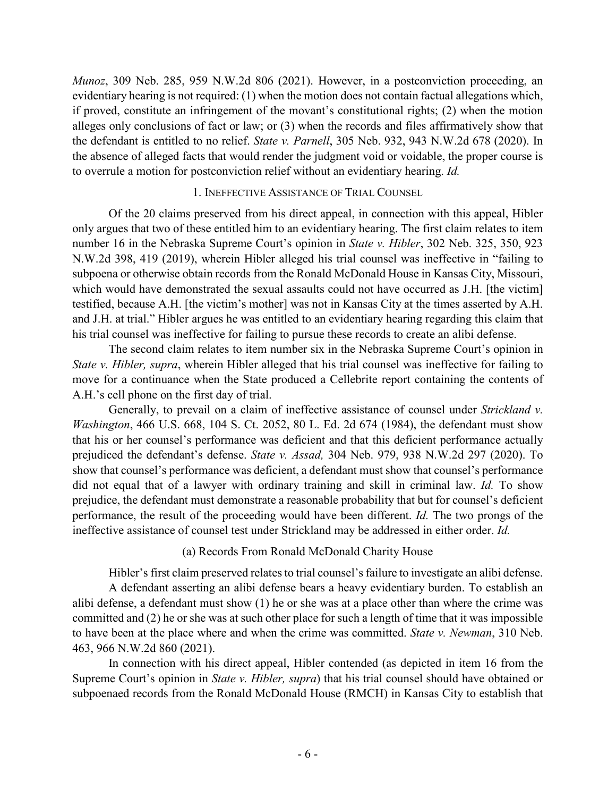*Munoz*, 309 Neb. 285, 959 N.W.2d 806 (2021). However, in a postconviction proceeding, an evidentiary hearing is not required: (1) when the motion does not contain factual allegations which, if proved, constitute an infringement of the movant's constitutional rights; (2) when the motion alleges only conclusions of fact or law; or (3) when the records and files affirmatively show that the defendant is entitled to no relief. *State v. Parnell*, 305 Neb. 932, 943 N.W.2d 678 (2020). In the absence of alleged facts that would render the judgment void or voidable, the proper course is to overrule a motion for postconviction relief without an evidentiary hearing. *Id.*

#### 1. INEFFECTIVE ASSISTANCE OF TRIAL COUNSEL

Of the 20 claims preserved from his direct appeal, in connection with this appeal, Hibler only argues that two of these entitled him to an evidentiary hearing. The first claim relates to item number 16 in the Nebraska Supreme Court's opinion in *State v. Hibler*, 302 Neb. 325, 350, 923 N.W.2d 398, 419 (2019), wherein Hibler alleged his trial counsel was ineffective in "failing to subpoena or otherwise obtain records from the Ronald McDonald House in Kansas City, Missouri, which would have demonstrated the sexual assaults could not have occurred as J.H. [the victim] testified, because A.H. [the victim's mother] was not in Kansas City at the times asserted by A.H. and J.H. at trial." Hibler argues he was entitled to an evidentiary hearing regarding this claim that his trial counsel was ineffective for failing to pursue these records to create an alibi defense.

The second claim relates to item number six in the Nebraska Supreme Court's opinion in *State v. Hibler, supra*, wherein Hibler alleged that his trial counsel was ineffective for failing to move for a continuance when the State produced a Cellebrite report containing the contents of A.H.'s cell phone on the first day of trial.

Generally, to prevail on a claim of ineffective assistance of counsel under *Strickland v. Washington*, 466 U.S. 668, 104 S. Ct. 2052, 80 L. Ed. 2d 674 (1984), the defendant must show that his or her counsel's performance was deficient and that this deficient performance actually prejudiced the defendant's defense. *State v. Assad,* 304 Neb. 979, 938 N.W.2d 297 (2020). To show that counsel's performance was deficient, a defendant must show that counsel's performance did not equal that of a lawyer with ordinary training and skill in criminal law. *Id.* To show prejudice, the defendant must demonstrate a reasonable probability that but for counsel's deficient performance, the result of the proceeding would have been different. *Id.* The two prongs of the ineffective assistance of counsel test under Strickland may be addressed in either order. *Id.*

### (a) Records From Ronald McDonald Charity House

Hibler's first claim preserved relates to trial counsel's failure to investigate an alibi defense.

A defendant asserting an alibi defense bears a heavy evidentiary burden. To establish an alibi defense, a defendant must show (1) he or she was at a place other than where the crime was committed and (2) he or she was at such other place for such a length of time that it was impossible to have been at the place where and when the crime was committed. *State v. Newman*, 310 Neb. 463, 966 N.W.2d 860 (2021).

In connection with his direct appeal, Hibler contended (as depicted in item 16 from the Supreme Court's opinion in *State v. Hibler, supra*) that his trial counsel should have obtained or subpoenaed records from the Ronald McDonald House (RMCH) in Kansas City to establish that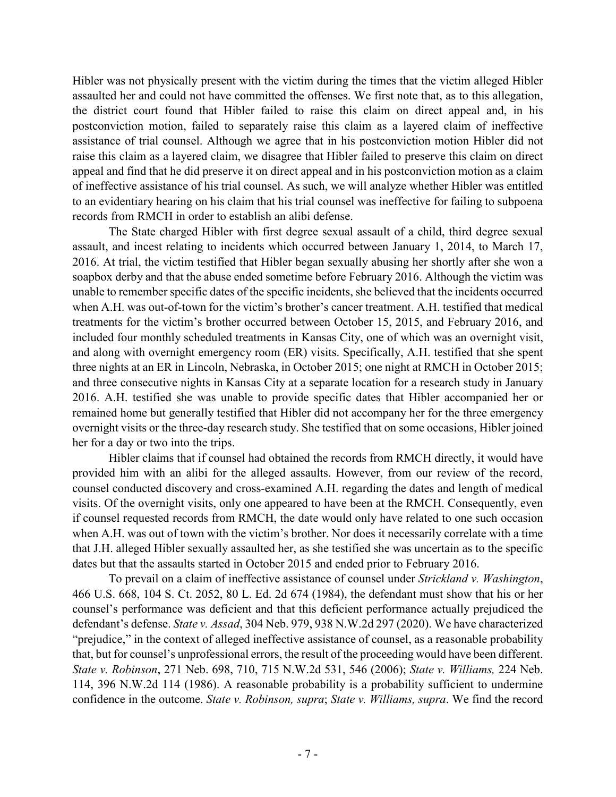Hibler was not physically present with the victim during the times that the victim alleged Hibler assaulted her and could not have committed the offenses. We first note that, as to this allegation, the district court found that Hibler failed to raise this claim on direct appeal and, in his postconviction motion, failed to separately raise this claim as a layered claim of ineffective assistance of trial counsel. Although we agree that in his postconviction motion Hibler did not raise this claim as a layered claim, we disagree that Hibler failed to preserve this claim on direct appeal and find that he did preserve it on direct appeal and in his postconviction motion as a claim of ineffective assistance of his trial counsel. As such, we will analyze whether Hibler was entitled to an evidentiary hearing on his claim that his trial counsel was ineffective for failing to subpoena records from RMCH in order to establish an alibi defense.

The State charged Hibler with first degree sexual assault of a child, third degree sexual assault, and incest relating to incidents which occurred between January 1, 2014, to March 17, 2016. At trial, the victim testified that Hibler began sexually abusing her shortly after she won a soapbox derby and that the abuse ended sometime before February 2016. Although the victim was unable to remember specific dates of the specific incidents, she believed that the incidents occurred when A.H. was out-of-town for the victim's brother's cancer treatment. A.H. testified that medical treatments for the victim's brother occurred between October 15, 2015, and February 2016, and included four monthly scheduled treatments in Kansas City, one of which was an overnight visit, and along with overnight emergency room (ER) visits. Specifically, A.H. testified that she spent three nights at an ER in Lincoln, Nebraska, in October 2015; one night at RMCH in October 2015; and three consecutive nights in Kansas City at a separate location for a research study in January 2016. A.H. testified she was unable to provide specific dates that Hibler accompanied her or remained home but generally testified that Hibler did not accompany her for the three emergency overnight visits or the three-day research study. She testified that on some occasions, Hibler joined her for a day or two into the trips.

Hibler claims that if counsel had obtained the records from RMCH directly, it would have provided him with an alibi for the alleged assaults. However, from our review of the record, counsel conducted discovery and cross-examined A.H. regarding the dates and length of medical visits. Of the overnight visits, only one appeared to have been at the RMCH. Consequently, even if counsel requested records from RMCH, the date would only have related to one such occasion when A.H. was out of town with the victim's brother. Nor does it necessarily correlate with a time that J.H. alleged Hibler sexually assaulted her, as she testified she was uncertain as to the specific dates but that the assaults started in October 2015 and ended prior to February 2016.

To prevail on a claim of ineffective assistance of counsel under *Strickland v. Washington*, 466 U.S. 668, 104 S. Ct. 2052, 80 L. Ed. 2d 674 (1984), the defendant must show that his or her counsel's performance was deficient and that this deficient performance actually prejudiced the defendant's defense. *State v. Assad*, 304 Neb. 979, 938 N.W.2d 297 (2020). We have characterized "prejudice," in the context of alleged ineffective assistance of counsel, as a reasonable probability that, but for counsel's unprofessional errors, the result of the proceeding would have been different. *State v. Robinson*, 271 Neb. 698, 710, 715 N.W.2d 531, 546 (2006); *State v. Williams,* 224 Neb. 114, 396 N.W.2d 114 (1986). A reasonable probability is a probability sufficient to undermine confidence in the outcome. *State v. Robinson, supra*; *State v. Williams, supra*. We find the record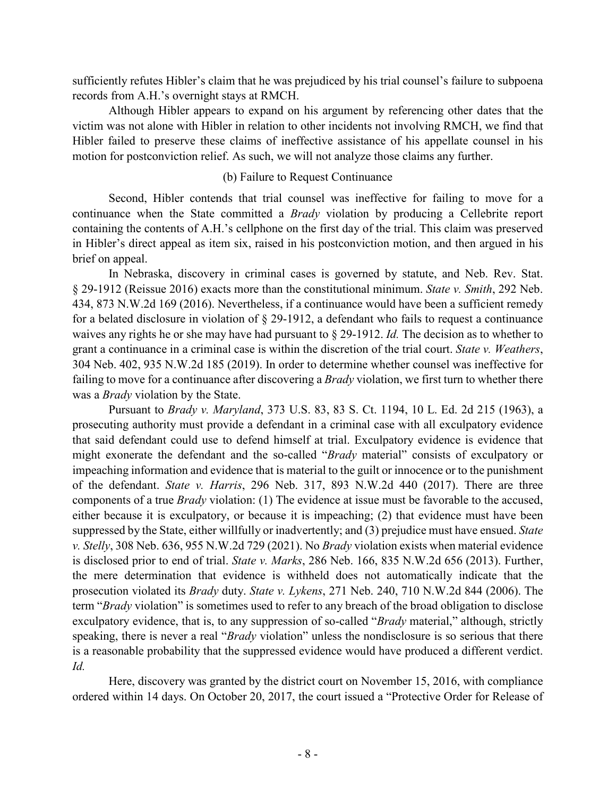sufficiently refutes Hibler's claim that he was prejudiced by his trial counsel's failure to subpoena records from A.H.'s overnight stays at RMCH.

Although Hibler appears to expand on his argument by referencing other dates that the victim was not alone with Hibler in relation to other incidents not involving RMCH, we find that Hibler failed to preserve these claims of ineffective assistance of his appellate counsel in his motion for postconviction relief. As such, we will not analyze those claims any further.

## (b) Failure to Request Continuance

Second, Hibler contends that trial counsel was ineffective for failing to move for a continuance when the State committed a *Brady* violation by producing a Cellebrite report containing the contents of A.H.'s cellphone on the first day of the trial. This claim was preserved in Hibler's direct appeal as item six, raised in his postconviction motion, and then argued in his brief on appeal.

In Nebraska, discovery in criminal cases is governed by statute, and Neb. Rev. Stat. § 29-1912 (Reissue 2016) exacts more than the constitutional minimum. *State v. Smith*, 292 Neb. 434, 873 N.W.2d 169 (2016). Nevertheless, if a continuance would have been a sufficient remedy for a belated disclosure in violation of § 29-1912, a defendant who fails to request a continuance waives any rights he or she may have had pursuant to § 29-1912. *Id.* The decision as to whether to grant a continuance in a criminal case is within the discretion of the trial court. *State v. Weathers*, 304 Neb. 402, 935 N.W.2d 185 (2019). In order to determine whether counsel was ineffective for failing to move for a continuance after discovering a *Brady* violation, we first turn to whether there was a *Brady* violation by the State.

Pursuant to *Brady v. Maryland*, 373 U.S. 83, 83 S. Ct. 1194, 10 L. Ed. 2d 215 (1963), a prosecuting authority must provide a defendant in a criminal case with all exculpatory evidence that said defendant could use to defend himself at trial. Exculpatory evidence is evidence that might exonerate the defendant and the so-called "*Brady* material" consists of exculpatory or impeaching information and evidence that is material to the guilt or innocence or to the punishment of the defendant. *State v. Harris*, 296 Neb. 317, 893 N.W.2d 440 (2017). There are three components of a true *Brady* violation: (1) The evidence at issue must be favorable to the accused, either because it is exculpatory, or because it is impeaching; (2) that evidence must have been suppressed by the State, either willfully or inadvertently; and (3) prejudice must have ensued. *State v. Stelly*, 308 Neb. 636, 955 N.W.2d 729 (2021). No *Brady* violation exists when material evidence is disclosed prior to end of trial. *State v. Marks*, 286 Neb. 166, 835 N.W.2d 656 (2013). Further, the mere determination that evidence is withheld does not automatically indicate that the prosecution violated its *Brady* duty. *State v. Lykens*, 271 Neb. 240, 710 N.W.2d 844 (2006). The term "*Brady* violation" is sometimes used to refer to any breach of the broad obligation to disclose exculpatory evidence, that is, to any suppression of so-called "*Brady* material," although, strictly speaking, there is never a real "*Brady* violation" unless the nondisclosure is so serious that there is a reasonable probability that the suppressed evidence would have produced a different verdict. *Id.*

Here, discovery was granted by the district court on November 15, 2016, with compliance ordered within 14 days. On October 20, 2017, the court issued a "Protective Order for Release of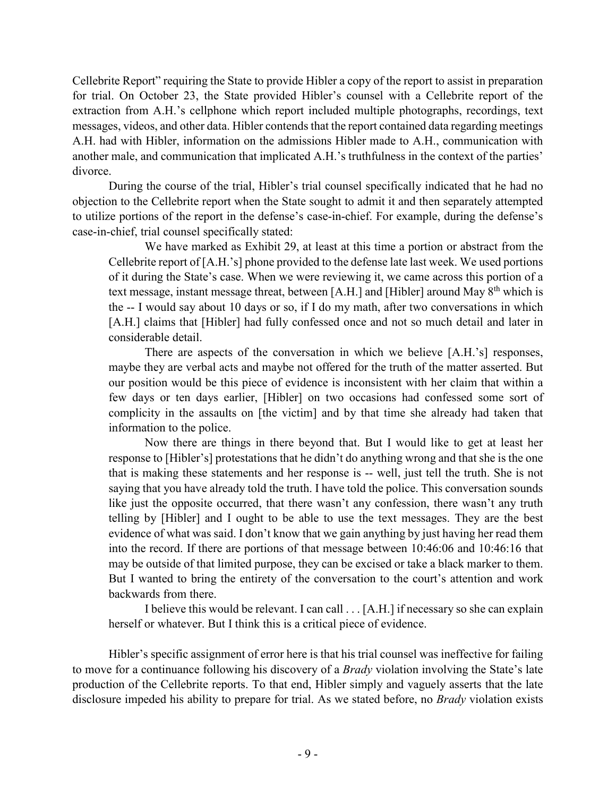Cellebrite Report" requiring the State to provide Hibler a copy of the report to assist in preparation for trial. On October 23, the State provided Hibler's counsel with a Cellebrite report of the extraction from A.H.'s cellphone which report included multiple photographs, recordings, text messages, videos, and other data. Hibler contends that the report contained data regarding meetings A.H. had with Hibler, information on the admissions Hibler made to A.H., communication with another male, and communication that implicated A.H.'s truthfulness in the context of the parties' divorce.

During the course of the trial, Hibler's trial counsel specifically indicated that he had no objection to the Cellebrite report when the State sought to admit it and then separately attempted to utilize portions of the report in the defense's case-in-chief. For example, during the defense's case-in-chief, trial counsel specifically stated:

We have marked as Exhibit 29, at least at this time a portion or abstract from the Cellebrite report of [A.H.'s] phone provided to the defense late last week. We used portions of it during the State's case. When we were reviewing it, we came across this portion of a text message, instant message threat, between [A.H.] and [Hibler] around May 8<sup>th</sup> which is the -- I would say about 10 days or so, if I do my math, after two conversations in which [A.H.] claims that [Hibler] had fully confessed once and not so much detail and later in considerable detail.

There are aspects of the conversation in which we believe [A.H.'s] responses, maybe they are verbal acts and maybe not offered for the truth of the matter asserted. But our position would be this piece of evidence is inconsistent with her claim that within a few days or ten days earlier, [Hibler] on two occasions had confessed some sort of complicity in the assaults on [the victim] and by that time she already had taken that information to the police.

Now there are things in there beyond that. But I would like to get at least her response to [Hibler's] protestations that he didn't do anything wrong and that she is the one that is making these statements and her response is -- well, just tell the truth. She is not saying that you have already told the truth. I have told the police. This conversation sounds like just the opposite occurred, that there wasn't any confession, there wasn't any truth telling by [Hibler] and I ought to be able to use the text messages. They are the best evidence of what was said. I don't know that we gain anything by just having her read them into the record. If there are portions of that message between 10:46:06 and 10:46:16 that may be outside of that limited purpose, they can be excised or take a black marker to them. But I wanted to bring the entirety of the conversation to the court's attention and work backwards from there.

I believe this would be relevant. I can call . . . [A.H.] if necessary so she can explain herself or whatever. But I think this is a critical piece of evidence.

Hibler's specific assignment of error here is that his trial counsel was ineffective for failing to move for a continuance following his discovery of a *Brady* violation involving the State's late production of the Cellebrite reports. To that end, Hibler simply and vaguely asserts that the late disclosure impeded his ability to prepare for trial. As we stated before, no *Brady* violation exists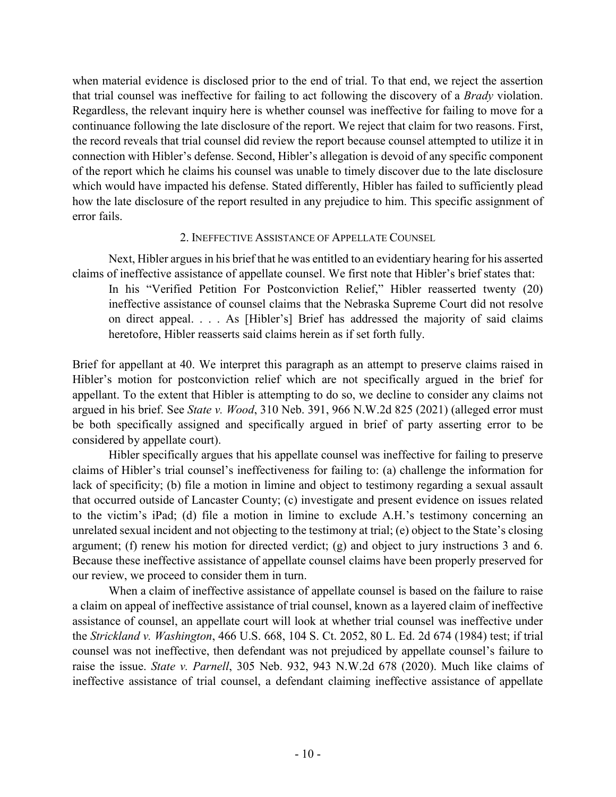when material evidence is disclosed prior to the end of trial. To that end, we reject the assertion that trial counsel was ineffective for failing to act following the discovery of a *Brady* violation. Regardless, the relevant inquiry here is whether counsel was ineffective for failing to move for a continuance following the late disclosure of the report. We reject that claim for two reasons. First, the record reveals that trial counsel did review the report because counsel attempted to utilize it in connection with Hibler's defense. Second, Hibler's allegation is devoid of any specific component of the report which he claims his counsel was unable to timely discover due to the late disclosure which would have impacted his defense. Stated differently, Hibler has failed to sufficiently plead how the late disclosure of the report resulted in any prejudice to him. This specific assignment of error fails.

### 2. INEFFECTIVE ASSISTANCE OF APPELLATE COUNSEL

Next, Hibler argues in his brief that he was entitled to an evidentiary hearing for his asserted claims of ineffective assistance of appellate counsel. We first note that Hibler's brief states that:

In his "Verified Petition For Postconviction Relief," Hibler reasserted twenty (20) ineffective assistance of counsel claims that the Nebraska Supreme Court did not resolve on direct appeal. . . . As [Hibler's] Brief has addressed the majority of said claims heretofore, Hibler reasserts said claims herein as if set forth fully.

Brief for appellant at 40. We interpret this paragraph as an attempt to preserve claims raised in Hibler's motion for postconviction relief which are not specifically argued in the brief for appellant. To the extent that Hibler is attempting to do so, we decline to consider any claims not argued in his brief. See *State v. Wood*, 310 Neb. 391, 966 N.W.2d 825 (2021) (alleged error must be both specifically assigned and specifically argued in brief of party asserting error to be considered by appellate court).

Hibler specifically argues that his appellate counsel was ineffective for failing to preserve claims of Hibler's trial counsel's ineffectiveness for failing to: (a) challenge the information for lack of specificity; (b) file a motion in limine and object to testimony regarding a sexual assault that occurred outside of Lancaster County; (c) investigate and present evidence on issues related to the victim's iPad; (d) file a motion in limine to exclude A.H.'s testimony concerning an unrelated sexual incident and not objecting to the testimony at trial; (e) object to the State's closing argument; (f) renew his motion for directed verdict; (g) and object to jury instructions 3 and 6. Because these ineffective assistance of appellate counsel claims have been properly preserved for our review, we proceed to consider them in turn.

When a claim of ineffective assistance of appellate counsel is based on the failure to raise a claim on appeal of ineffective assistance of trial counsel, known as a layered claim of ineffective assistance of counsel, an appellate court will look at whether trial counsel was ineffective under the *Strickland v. Washington*, 466 U.S. 668, 104 S. Ct. 2052, 80 L. Ed. 2d 674 (1984) test; if trial counsel was not ineffective, then defendant was not prejudiced by appellate counsel's failure to raise the issue. *State v. Parnell*, 305 Neb. 932, 943 N.W.2d 678 (2020). Much like claims of ineffective assistance of trial counsel, a defendant claiming ineffective assistance of appellate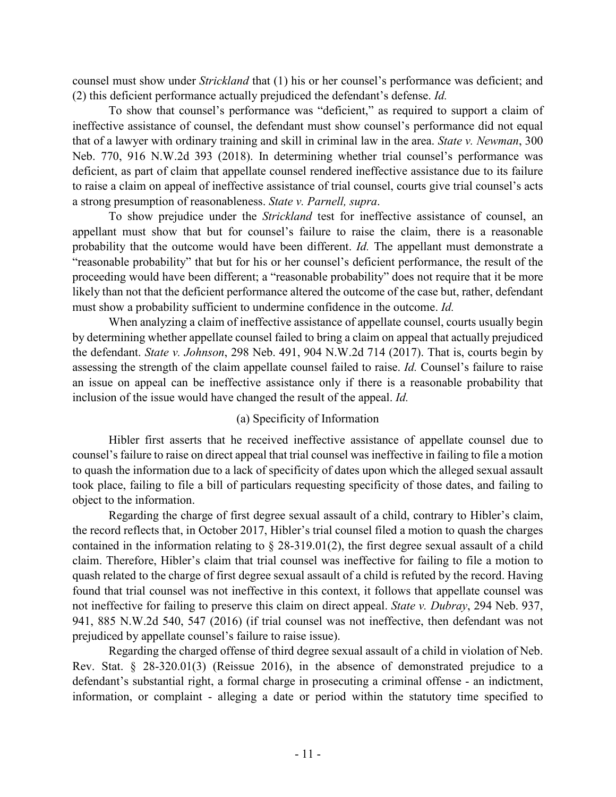counsel must show under *Strickland* that (1) his or her counsel's performance was deficient; and (2) this deficient performance actually prejudiced the defendant's defense. *Id.*

To show that counsel's performance was "deficient," as required to support a claim of ineffective assistance of counsel, the defendant must show counsel's performance did not equal that of a lawyer with ordinary training and skill in criminal law in the area. *State v. Newman*, 300 Neb. 770, 916 N.W.2d 393 (2018). In determining whether trial counsel's performance was deficient, as part of claim that appellate counsel rendered ineffective assistance due to its failure to raise a claim on appeal of ineffective assistance of trial counsel, courts give trial counsel's acts a strong presumption of reasonableness. *State v. Parnell, supra*.

To show prejudice under the *Strickland* test for ineffective assistance of counsel, an appellant must show that but for counsel's failure to raise the claim, there is a reasonable probability that the outcome would have been different. *Id.* The appellant must demonstrate a "reasonable probability" that but for his or her counsel's deficient performance, the result of the proceeding would have been different; a "reasonable probability" does not require that it be more likely than not that the deficient performance altered the outcome of the case but, rather, defendant must show a probability sufficient to undermine confidence in the outcome. *Id.*

When analyzing a claim of ineffective assistance of appellate counsel, courts usually begin by determining whether appellate counsel failed to bring a claim on appeal that actually prejudiced the defendant. *State v. Johnson*, 298 Neb. 491, 904 N.W.2d 714 (2017). That is, courts begin by assessing the strength of the claim appellate counsel failed to raise. *Id.* Counsel's failure to raise an issue on appeal can be ineffective assistance only if there is a reasonable probability that inclusion of the issue would have changed the result of the appeal. *Id.*

# (a) Specificity of Information

Hibler first asserts that he received ineffective assistance of appellate counsel due to counsel's failure to raise on direct appeal that trial counsel was ineffective in failing to file a motion to quash the information due to a lack of specificity of dates upon which the alleged sexual assault took place, failing to file a bill of particulars requesting specificity of those dates, and failing to object to the information.

Regarding the charge of first degree sexual assault of a child, contrary to Hibler's claim, the record reflects that, in October 2017, Hibler's trial counsel filed a motion to quash the charges contained in the information relating to  $\S$  28-319.01(2), the first degree sexual assault of a child claim. Therefore, Hibler's claim that trial counsel was ineffective for failing to file a motion to quash related to the charge of first degree sexual assault of a child is refuted by the record. Having found that trial counsel was not ineffective in this context, it follows that appellate counsel was not ineffective for failing to preserve this claim on direct appeal. *State v. Dubray*, 294 Neb. 937, 941, 885 N.W.2d 540, 547 (2016) (if trial counsel was not ineffective, then defendant was not prejudiced by appellate counsel's failure to raise issue).

Regarding the charged offense of third degree sexual assault of a child in violation of Neb. Rev. Stat. § 28-320.01(3) (Reissue 2016), in the absence of demonstrated prejudice to a defendant's substantial right, a formal charge in prosecuting a criminal offense - an indictment, information, or complaint - alleging a date or period within the statutory time specified to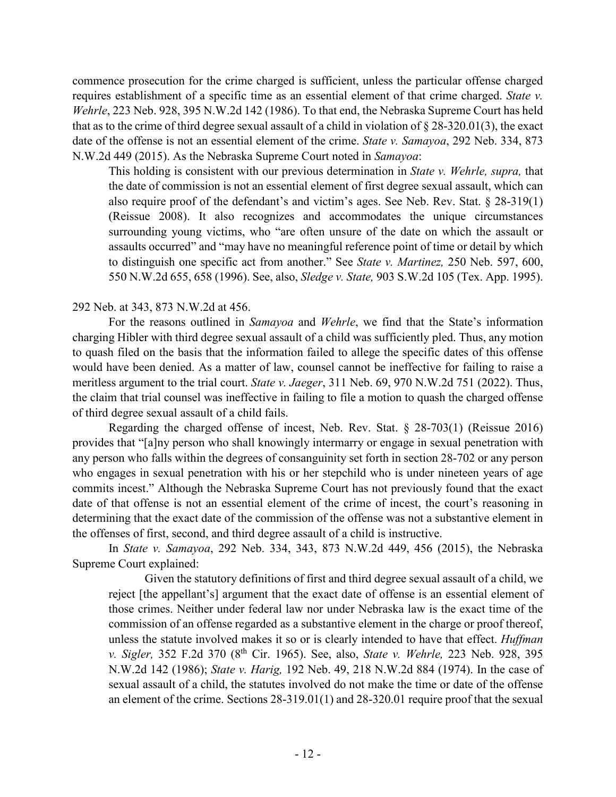commence prosecution for the crime charged is sufficient, unless the particular offense charged requires establishment of a specific time as an essential element of that crime charged. *State v. Wehrle*, 223 Neb. 928, 395 N.W.2d 142 (1986). To that end, the Nebraska Supreme Court has held that as to the crime of third degree sexual assault of a child in violation of § 28-320.01(3), the exact date of the offense is not an essential element of the crime. *State v. Samayoa*, 292 Neb. 334, 873 N.W.2d 449 (2015). As the Nebraska Supreme Court noted in *Samayoa*:

This holding is consistent with our previous determination in *State v. Wehrle, supra,* that the date of commission is not an essential element of first degree sexual assault, which can also require proof of the defendant's and victim's ages. See Neb. Rev. Stat. § 28-319(1) (Reissue 2008). It also recognizes and accommodates the unique circumstances surrounding young victims, who "are often unsure of the date on which the assault or assaults occurred" and "may have no meaningful reference point of time or detail by which to distinguish one specific act from another." See *State v. Martinez,* 250 Neb. 597, 600, 550 N.W.2d 655, 658 (1996). See, also, *Sledge v. State,* 903 S.W.2d 105 (Tex. App. 1995).

### 292 Neb. at 343, 873 N.W.2d at 456.

For the reasons outlined in *Samayoa* and *Wehrle*, we find that the State's information charging Hibler with third degree sexual assault of a child was sufficiently pled. Thus, any motion to quash filed on the basis that the information failed to allege the specific dates of this offense would have been denied. As a matter of law, counsel cannot be ineffective for failing to raise a meritless argument to the trial court. *State v. Jaeger*, 311 Neb. 69, 970 N.W.2d 751 (2022). Thus, the claim that trial counsel was ineffective in failing to file a motion to quash the charged offense of third degree sexual assault of a child fails.

Regarding the charged offense of incest, Neb. Rev. Stat. § 28-703(1) (Reissue 2016) provides that "[a]ny person who shall knowingly intermarry or engage in sexual penetration with any person who falls within the degrees of consanguinity set forth in section 28-702 or any person who engages in sexual penetration with his or her stepchild who is under nineteen years of age commits incest." Although the Nebraska Supreme Court has not previously found that the exact date of that offense is not an essential element of the crime of incest, the court's reasoning in determining that the exact date of the commission of the offense was not a substantive element in the offenses of first, second, and third degree assault of a child is instructive.

In *State v. Samayoa*, 292 Neb. 334, 343, 873 N.W.2d 449, 456 (2015), the Nebraska Supreme Court explained:

Given the statutory definitions of first and third degree sexual assault of a child, we reject [the appellant's] argument that the exact date of offense is an essential element of those crimes. Neither under federal law nor under Nebraska law is the exact time of the commission of an offense regarded as a substantive element in the charge or proof thereof, unless the statute involved makes it so or is clearly intended to have that effect. *Huffman v. Sigler,* 352 F.2d 370 (8th Cir. 1965). See, also, *State v. Wehrle,* 223 Neb. 928, 395 N.W.2d 142 (1986); *State v. Harig,* 192 Neb. 49, 218 N.W.2d 884 (1974). In the case of sexual assault of a child, the statutes involved do not make the time or date of the offense an element of the crime. Sections 28-319.01(1) and 28-320.01 require proof that the sexual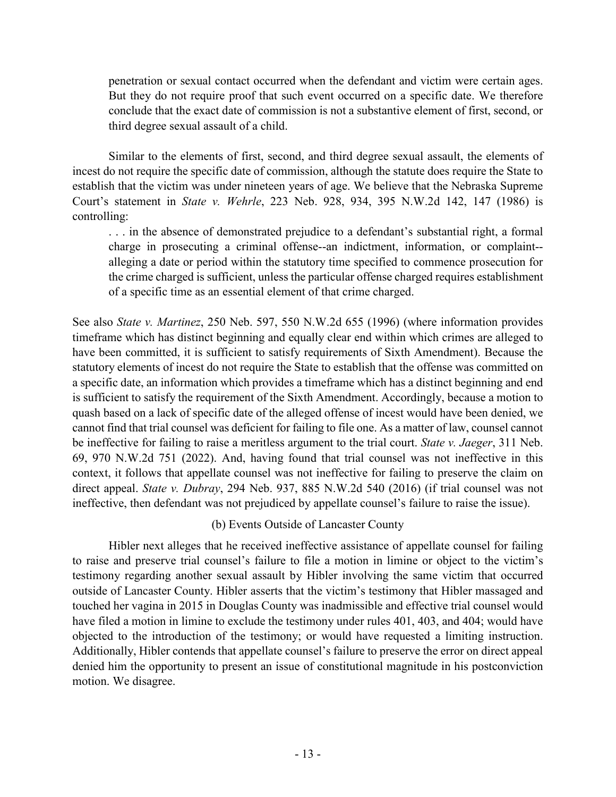penetration or sexual contact occurred when the defendant and victim were certain ages. But they do not require proof that such event occurred on a specific date. We therefore conclude that the exact date of commission is not a substantive element of first, second, or third degree sexual assault of a child.

Similar to the elements of first, second, and third degree sexual assault, the elements of incest do not require the specific date of commission, although the statute does require the State to establish that the victim was under nineteen years of age. We believe that the Nebraska Supreme Court's statement in *State v. Wehrle*, 223 Neb. 928, 934, 395 N.W.2d 142, 147 (1986) is controlling:

. . . in the absence of demonstrated prejudice to a defendant's substantial right, a formal charge in prosecuting a criminal offense--an indictment, information, or complaint- alleging a date or period within the statutory time specified to commence prosecution for the crime charged is sufficient, unless the particular offense charged requires establishment of a specific time as an essential element of that crime charged.

See also *State v. Martinez*, 250 Neb. 597, 550 N.W.2d 655 (1996) (where information provides timeframe which has distinct beginning and equally clear end within which crimes are alleged to have been committed, it is sufficient to satisfy requirements of Sixth Amendment). Because the statutory elements of incest do not require the State to establish that the offense was committed on a specific date, an information which provides a timeframe which has a distinct beginning and end is sufficient to satisfy the requirement of the Sixth Amendment. Accordingly, because a motion to quash based on a lack of specific date of the alleged offense of incest would have been denied, we cannot find that trial counsel was deficient for failing to file one. As a matter of law, counsel cannot be ineffective for failing to raise a meritless argument to the trial court. *State v. Jaeger*, 311 Neb. 69, 970 N.W.2d 751 (2022). And, having found that trial counsel was not ineffective in this context, it follows that appellate counsel was not ineffective for failing to preserve the claim on direct appeal. *State v. Dubray*, 294 Neb. 937, 885 N.W.2d 540 (2016) (if trial counsel was not ineffective, then defendant was not prejudiced by appellate counsel's failure to raise the issue).

# (b) Events Outside of Lancaster County

Hibler next alleges that he received ineffective assistance of appellate counsel for failing to raise and preserve trial counsel's failure to file a motion in limine or object to the victim's testimony regarding another sexual assault by Hibler involving the same victim that occurred outside of Lancaster County. Hibler asserts that the victim's testimony that Hibler massaged and touched her vagina in 2015 in Douglas County was inadmissible and effective trial counsel would have filed a motion in limine to exclude the testimony under rules 401, 403, and 404; would have objected to the introduction of the testimony; or would have requested a limiting instruction. Additionally, Hibler contends that appellate counsel's failure to preserve the error on direct appeal denied him the opportunity to present an issue of constitutional magnitude in his postconviction motion. We disagree.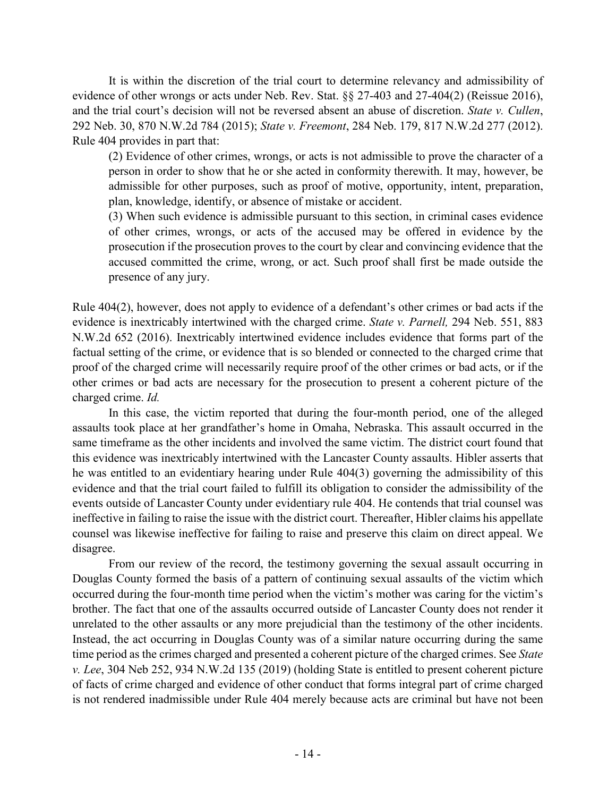It is within the discretion of the trial court to determine relevancy and admissibility of evidence of other wrongs or acts under Neb. Rev. Stat. §§ 27-403 and 27-404(2) (Reissue 2016), and the trial court's decision will not be reversed absent an abuse of discretion. *State v. Cullen*, 292 Neb. 30, 870 N.W.2d 784 (2015); *State v. Freemont*, 284 Neb. 179, 817 N.W.2d 277 (2012). Rule 404 provides in part that:

(2) Evidence of other crimes, wrongs, or acts is not admissible to prove the character of a person in order to show that he or she acted in conformity therewith. It may, however, be admissible for other purposes, such as proof of motive, opportunity, intent, preparation, plan, knowledge, identify, or absence of mistake or accident.

(3) When such evidence is admissible pursuant to this section, in criminal cases evidence of other crimes, wrongs, or acts of the accused may be offered in evidence by the prosecution if the prosecution proves to the court by clear and convincing evidence that the accused committed the crime, wrong, or act. Such proof shall first be made outside the presence of any jury.

Rule 404(2), however, does not apply to evidence of a defendant's other crimes or bad acts if the evidence is inextricably intertwined with the charged crime. *State v. Parnell,* 294 Neb. 551, 883 N.W.2d 652 (2016). Inextricably intertwined evidence includes evidence that forms part of the factual setting of the crime, or evidence that is so blended or connected to the charged crime that proof of the charged crime will necessarily require proof of the other crimes or bad acts, or if the other crimes or bad acts are necessary for the prosecution to present a coherent picture of the charged crime. *Id.*

In this case, the victim reported that during the four-month period, one of the alleged assaults took place at her grandfather's home in Omaha, Nebraska. This assault occurred in the same timeframe as the other incidents and involved the same victim. The district court found that this evidence was inextricably intertwined with the Lancaster County assaults. Hibler asserts that he was entitled to an evidentiary hearing under Rule 404(3) governing the admissibility of this evidence and that the trial court failed to fulfill its obligation to consider the admissibility of the events outside of Lancaster County under evidentiary rule 404. He contends that trial counsel was ineffective in failing to raise the issue with the district court. Thereafter, Hibler claims his appellate counsel was likewise ineffective for failing to raise and preserve this claim on direct appeal. We disagree.

From our review of the record, the testimony governing the sexual assault occurring in Douglas County formed the basis of a pattern of continuing sexual assaults of the victim which occurred during the four-month time period when the victim's mother was caring for the victim's brother. The fact that one of the assaults occurred outside of Lancaster County does not render it unrelated to the other assaults or any more prejudicial than the testimony of the other incidents. Instead, the act occurring in Douglas County was of a similar nature occurring during the same time period as the crimes charged and presented a coherent picture of the charged crimes. See *State v. Lee*, 304 Neb 252, 934 N.W.2d 135 (2019) (holding State is entitled to present coherent picture of facts of crime charged and evidence of other conduct that forms integral part of crime charged is not rendered inadmissible under Rule 404 merely because acts are criminal but have not been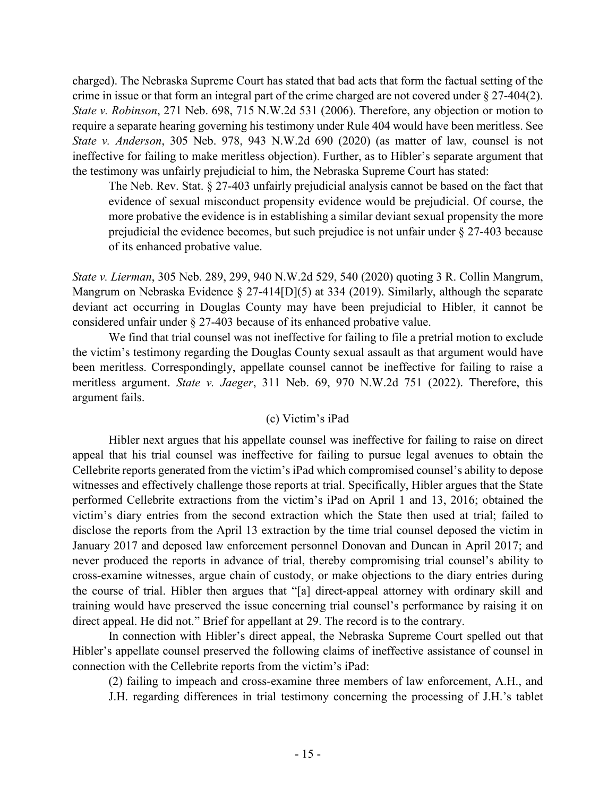charged). The Nebraska Supreme Court has stated that bad acts that form the factual setting of the crime in issue or that form an integral part of the crime charged are not covered under § 27-404(2). *State v. Robinson*, 271 Neb. 698, 715 N.W.2d 531 (2006). Therefore, any objection or motion to require a separate hearing governing his testimony under Rule 404 would have been meritless. See *State v. Anderson*, 305 Neb. 978, 943 N.W.2d 690 (2020) (as matter of law, counsel is not ineffective for failing to make meritless objection). Further, as to Hibler's separate argument that the testimony was unfairly prejudicial to him, the Nebraska Supreme Court has stated:

The Neb. Rev. Stat. § 27-403 unfairly prejudicial analysis cannot be based on the fact that evidence of sexual misconduct propensity evidence would be prejudicial. Of course, the more probative the evidence is in establishing a similar deviant sexual propensity the more prejudicial the evidence becomes, but such prejudice is not unfair under § 27-403 because of its enhanced probative value.

*State v. Lierman*, 305 Neb. 289, 299, 940 N.W.2d 529, 540 (2020) quoting 3 R. Collin Mangrum, Mangrum on Nebraska Evidence § 27-414[D](5) at 334 (2019). Similarly, although the separate deviant act occurring in Douglas County may have been prejudicial to Hibler, it cannot be considered unfair under § 27-403 because of its enhanced probative value.

We find that trial counsel was not ineffective for failing to file a pretrial motion to exclude the victim's testimony regarding the Douglas County sexual assault as that argument would have been meritless. Correspondingly, appellate counsel cannot be ineffective for failing to raise a meritless argument. *State v. Jaeger*, 311 Neb. 69, 970 N.W.2d 751 (2022). Therefore, this argument fails.

### (c) Victim's iPad

Hibler next argues that his appellate counsel was ineffective for failing to raise on direct appeal that his trial counsel was ineffective for failing to pursue legal avenues to obtain the Cellebrite reports generated from the victim's iPad which compromised counsel's ability to depose witnesses and effectively challenge those reports at trial. Specifically, Hibler argues that the State performed Cellebrite extractions from the victim's iPad on April 1 and 13, 2016; obtained the victim's diary entries from the second extraction which the State then used at trial; failed to disclose the reports from the April 13 extraction by the time trial counsel deposed the victim in January 2017 and deposed law enforcement personnel Donovan and Duncan in April 2017; and never produced the reports in advance of trial, thereby compromising trial counsel's ability to cross-examine witnesses, argue chain of custody, or make objections to the diary entries during the course of trial. Hibler then argues that "[a] direct-appeal attorney with ordinary skill and training would have preserved the issue concerning trial counsel's performance by raising it on direct appeal. He did not." Brief for appellant at 29. The record is to the contrary.

In connection with Hibler's direct appeal, the Nebraska Supreme Court spelled out that Hibler's appellate counsel preserved the following claims of ineffective assistance of counsel in connection with the Cellebrite reports from the victim's iPad:

(2) failing to impeach and cross-examine three members of law enforcement, A.H., and

J.H. regarding differences in trial testimony concerning the processing of J.H.'s tablet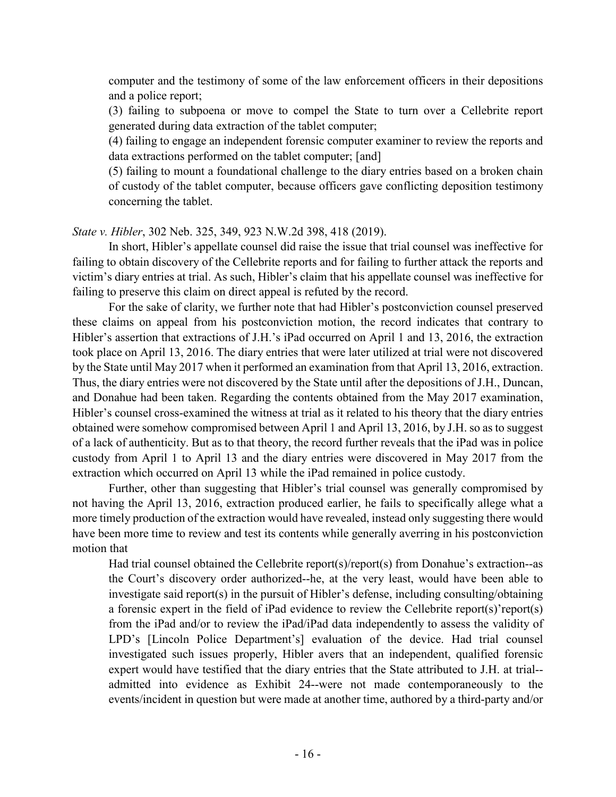computer and the testimony of some of the law enforcement officers in their depositions and a police report;

(3) failing to subpoena or move to compel the State to turn over a Cellebrite report generated during data extraction of the tablet computer;

(4) failing to engage an independent forensic computer examiner to review the reports and data extractions performed on the tablet computer; [and]

(5) failing to mount a foundational challenge to the diary entries based on a broken chain of custody of the tablet computer, because officers gave conflicting deposition testimony concerning the tablet.

*State v. Hibler*, 302 Neb. 325, 349, 923 N.W.2d 398, 418 (2019).

In short, Hibler's appellate counsel did raise the issue that trial counsel was ineffective for failing to obtain discovery of the Cellebrite reports and for failing to further attack the reports and victim's diary entries at trial. As such, Hibler's claim that his appellate counsel was ineffective for failing to preserve this claim on direct appeal is refuted by the record.

For the sake of clarity, we further note that had Hibler's postconviction counsel preserved these claims on appeal from his postconviction motion, the record indicates that contrary to Hibler's assertion that extractions of J.H.'s iPad occurred on April 1 and 13, 2016, the extraction took place on April 13, 2016. The diary entries that were later utilized at trial were not discovered by the State until May 2017 when it performed an examination from that April 13, 2016, extraction. Thus, the diary entries were not discovered by the State until after the depositions of J.H., Duncan, and Donahue had been taken. Regarding the contents obtained from the May 2017 examination, Hibler's counsel cross-examined the witness at trial as it related to his theory that the diary entries obtained were somehow compromised between April 1 and April 13, 2016, by J.H. so as to suggest of a lack of authenticity. But as to that theory, the record further reveals that the iPad was in police custody from April 1 to April 13 and the diary entries were discovered in May 2017 from the extraction which occurred on April 13 while the iPad remained in police custody.

Further, other than suggesting that Hibler's trial counsel was generally compromised by not having the April 13, 2016, extraction produced earlier, he fails to specifically allege what a more timely production of the extraction would have revealed, instead only suggesting there would have been more time to review and test its contents while generally averring in his postconviction motion that

Had trial counsel obtained the Cellebrite report(s)/report(s) from Donahue's extraction--as the Court's discovery order authorized--he, at the very least, would have been able to investigate said report(s) in the pursuit of Hibler's defense, including consulting/obtaining a forensic expert in the field of iPad evidence to review the Cellebrite report(s)'report(s) from the iPad and/or to review the iPad/iPad data independently to assess the validity of LPD's [Lincoln Police Department's] evaluation of the device. Had trial counsel investigated such issues properly, Hibler avers that an independent, qualified forensic expert would have testified that the diary entries that the State attributed to J.H. at trial- admitted into evidence as Exhibit 24--were not made contemporaneously to the events/incident in question but were made at another time, authored by a third-party and/or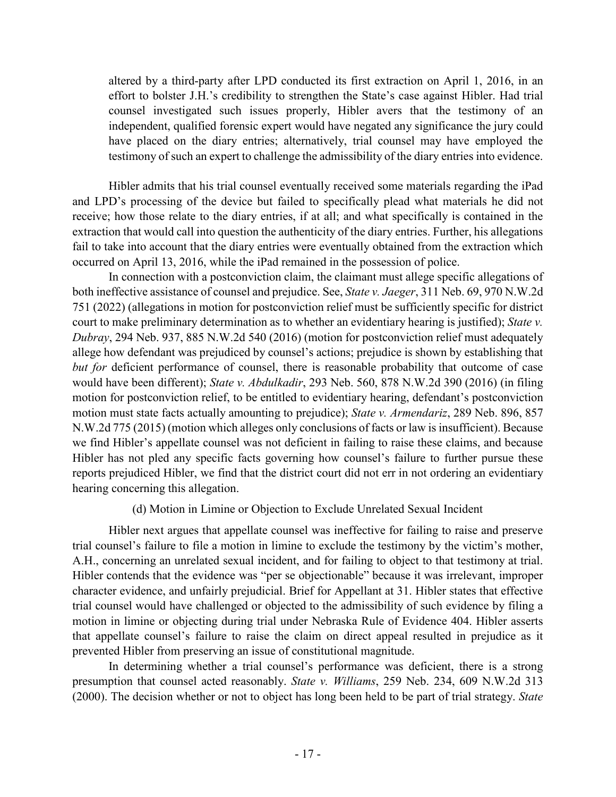altered by a third-party after LPD conducted its first extraction on April 1, 2016, in an effort to bolster J.H.'s credibility to strengthen the State's case against Hibler. Had trial counsel investigated such issues properly, Hibler avers that the testimony of an independent, qualified forensic expert would have negated any significance the jury could have placed on the diary entries; alternatively, trial counsel may have employed the testimony of such an expert to challenge the admissibility of the diary entries into evidence.

Hibler admits that his trial counsel eventually received some materials regarding the iPad and LPD's processing of the device but failed to specifically plead what materials he did not receive; how those relate to the diary entries, if at all; and what specifically is contained in the extraction that would call into question the authenticity of the diary entries. Further, his allegations fail to take into account that the diary entries were eventually obtained from the extraction which occurred on April 13, 2016, while the iPad remained in the possession of police.

In connection with a postconviction claim, the claimant must allege specific allegations of both ineffective assistance of counsel and prejudice. See, *State v. Jaeger*, 311 Neb. 69, 970 N.W.2d 751 (2022) (allegations in motion for postconviction relief must be sufficiently specific for district court to make preliminary determination as to whether an evidentiary hearing is justified); *State v. Dubray*, 294 Neb. 937, 885 N.W.2d 540 (2016) (motion for postconviction relief must adequately allege how defendant was prejudiced by counsel's actions; prejudice is shown by establishing that *but for* deficient performance of counsel, there is reasonable probability that outcome of case would have been different); *State v. Abdulkadir*, 293 Neb. 560, 878 N.W.2d 390 (2016) (in filing motion for postconviction relief, to be entitled to evidentiary hearing, defendant's postconviction motion must state facts actually amounting to prejudice); *State v. Armendariz*, 289 Neb. 896, 857 N.W.2d 775 (2015) (motion which alleges only conclusions of facts or law is insufficient). Because we find Hibler's appellate counsel was not deficient in failing to raise these claims, and because Hibler has not pled any specific facts governing how counsel's failure to further pursue these reports prejudiced Hibler, we find that the district court did not err in not ordering an evidentiary hearing concerning this allegation.

### (d) Motion in Limine or Objection to Exclude Unrelated Sexual Incident

Hibler next argues that appellate counsel was ineffective for failing to raise and preserve trial counsel's failure to file a motion in limine to exclude the testimony by the victim's mother, A.H., concerning an unrelated sexual incident, and for failing to object to that testimony at trial. Hibler contends that the evidence was "per se objectionable" because it was irrelevant, improper character evidence, and unfairly prejudicial. Brief for Appellant at 31. Hibler states that effective trial counsel would have challenged or objected to the admissibility of such evidence by filing a motion in limine or objecting during trial under Nebraska Rule of Evidence 404. Hibler asserts that appellate counsel's failure to raise the claim on direct appeal resulted in prejudice as it prevented Hibler from preserving an issue of constitutional magnitude.

In determining whether a trial counsel's performance was deficient, there is a strong presumption that counsel acted reasonably. *State v. Williams*, 259 Neb. 234, 609 N.W.2d 313 (2000). The decision whether or not to object has long been held to be part of trial strategy. *State*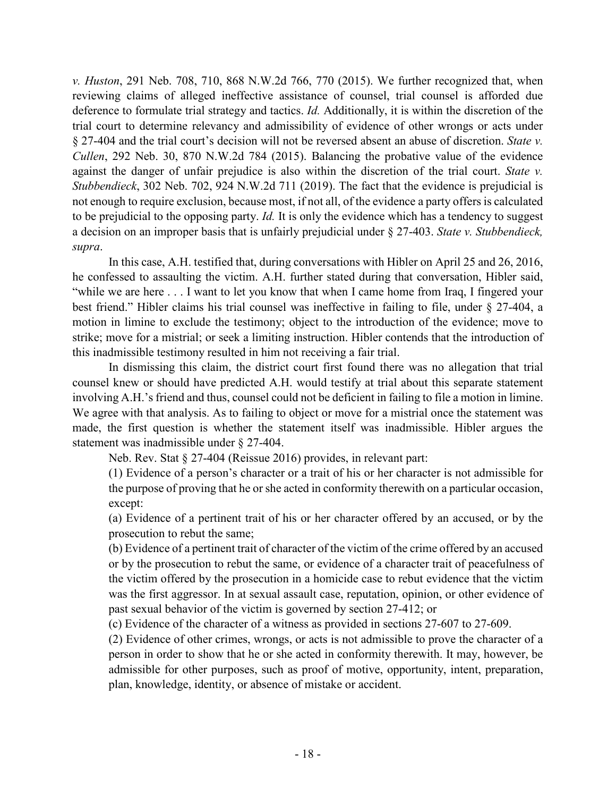*v. Huston*, 291 Neb. 708, 710, 868 N.W.2d 766, 770 (2015). We further recognized that, when reviewing claims of alleged ineffective assistance of counsel, trial counsel is afforded due deference to formulate trial strategy and tactics. *Id.* Additionally, it is within the discretion of the trial court to determine relevancy and admissibility of evidence of other wrongs or acts under § 27-404 and the trial court's decision will not be reversed absent an abuse of discretion. *State v. Cullen*, 292 Neb. 30, 870 N.W.2d 784 (2015). Balancing the probative value of the evidence against the danger of unfair prejudice is also within the discretion of the trial court. *State v. Stubbendieck*, 302 Neb. 702, 924 N.W.2d 711 (2019). The fact that the evidence is prejudicial is not enough to require exclusion, because most, if not all, of the evidence a party offers is calculated to be prejudicial to the opposing party. *Id.* It is only the evidence which has a tendency to suggest a decision on an improper basis that is unfairly prejudicial under § 27-403. *State v. Stubbendieck, supra*.

In this case, A.H. testified that, during conversations with Hibler on April 25 and 26, 2016, he confessed to assaulting the victim. A.H. further stated during that conversation, Hibler said, "while we are here . . . I want to let you know that when I came home from Iraq, I fingered your best friend." Hibler claims his trial counsel was ineffective in failing to file, under § 27-404, a motion in limine to exclude the testimony; object to the introduction of the evidence; move to strike; move for a mistrial; or seek a limiting instruction. Hibler contends that the introduction of this inadmissible testimony resulted in him not receiving a fair trial.

In dismissing this claim, the district court first found there was no allegation that trial counsel knew or should have predicted A.H. would testify at trial about this separate statement involving A.H.'s friend and thus, counsel could not be deficient in failing to file a motion in limine. We agree with that analysis. As to failing to object or move for a mistrial once the statement was made, the first question is whether the statement itself was inadmissible. Hibler argues the statement was inadmissible under § 27-404.

Neb. Rev. Stat § 27-404 (Reissue 2016) provides, in relevant part:

(1) Evidence of a person's character or a trait of his or her character is not admissible for the purpose of proving that he or she acted in conformity therewith on a particular occasion, except:

(a) Evidence of a pertinent trait of his or her character offered by an accused, or by the prosecution to rebut the same;

(b) Evidence of a pertinent trait of character of the victim of the crime offered by an accused or by the prosecution to rebut the same, or evidence of a character trait of peacefulness of the victim offered by the prosecution in a homicide case to rebut evidence that the victim was the first aggressor. In at sexual assault case, reputation, opinion, or other evidence of past sexual behavior of the victim is governed by section 27-412; or

(c) Evidence of the character of a witness as provided in sections 27-607 to 27-609.

(2) Evidence of other crimes, wrongs, or acts is not admissible to prove the character of a person in order to show that he or she acted in conformity therewith. It may, however, be admissible for other purposes, such as proof of motive, opportunity, intent, preparation, plan, knowledge, identity, or absence of mistake or accident.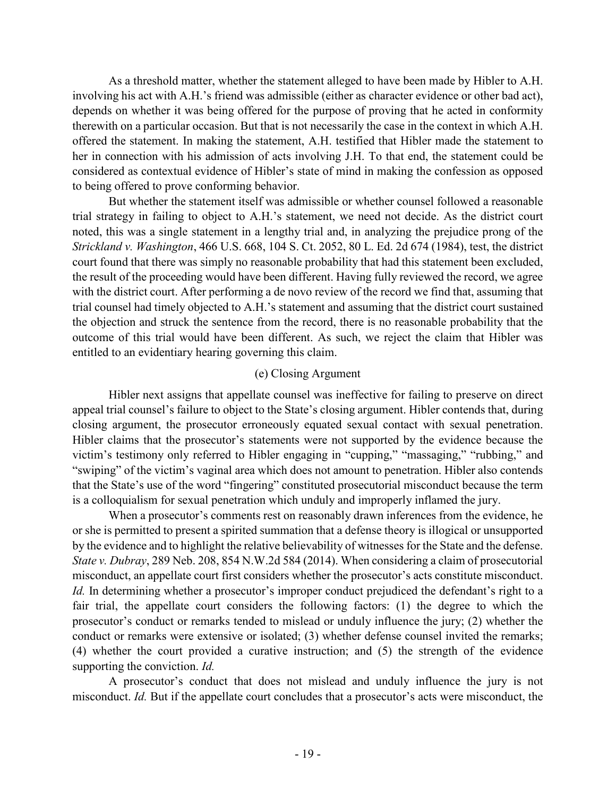As a threshold matter, whether the statement alleged to have been made by Hibler to A.H. involving his act with A.H.'s friend was admissible (either as character evidence or other bad act), depends on whether it was being offered for the purpose of proving that he acted in conformity therewith on a particular occasion. But that is not necessarily the case in the context in which A.H. offered the statement. In making the statement, A.H. testified that Hibler made the statement to her in connection with his admission of acts involving J.H. To that end, the statement could be considered as contextual evidence of Hibler's state of mind in making the confession as opposed to being offered to prove conforming behavior.

But whether the statement itself was admissible or whether counsel followed a reasonable trial strategy in failing to object to A.H.'s statement, we need not decide. As the district court noted, this was a single statement in a lengthy trial and, in analyzing the prejudice prong of the *Strickland v. Washington*, 466 U.S. 668, 104 S. Ct. 2052, 80 L. Ed. 2d 674 (1984), test, the district court found that there was simply no reasonable probability that had this statement been excluded, the result of the proceeding would have been different. Having fully reviewed the record, we agree with the district court. After performing a de novo review of the record we find that, assuming that trial counsel had timely objected to A.H.'s statement and assuming that the district court sustained the objection and struck the sentence from the record, there is no reasonable probability that the outcome of this trial would have been different. As such, we reject the claim that Hibler was entitled to an evidentiary hearing governing this claim.

### (e) Closing Argument

Hibler next assigns that appellate counsel was ineffective for failing to preserve on direct appeal trial counsel's failure to object to the State's closing argument. Hibler contends that, during closing argument, the prosecutor erroneously equated sexual contact with sexual penetration. Hibler claims that the prosecutor's statements were not supported by the evidence because the victim's testimony only referred to Hibler engaging in "cupping," "massaging," "rubbing," and "swiping" of the victim's vaginal area which does not amount to penetration. Hibler also contends that the State's use of the word "fingering" constituted prosecutorial misconduct because the term is a colloquialism for sexual penetration which unduly and improperly inflamed the jury.

When a prosecutor's comments rest on reasonably drawn inferences from the evidence, he or she is permitted to present a spirited summation that a defense theory is illogical or unsupported by the evidence and to highlight the relative believability of witnesses for the State and the defense. *State v. Dubray*, 289 Neb. 208, 854 N.W.2d 584 (2014). When considering a claim of prosecutorial misconduct, an appellate court first considers whether the prosecutor's acts constitute misconduct. *Id.* In determining whether a prosecutor's improper conduct prejudiced the defendant's right to a fair trial, the appellate court considers the following factors: (1) the degree to which the prosecutor's conduct or remarks tended to mislead or unduly influence the jury; (2) whether the conduct or remarks were extensive or isolated; (3) whether defense counsel invited the remarks; (4) whether the court provided a curative instruction; and (5) the strength of the evidence supporting the conviction. *Id.*

A prosecutor's conduct that does not mislead and unduly influence the jury is not misconduct. *Id.* But if the appellate court concludes that a prosecutor's acts were misconduct, the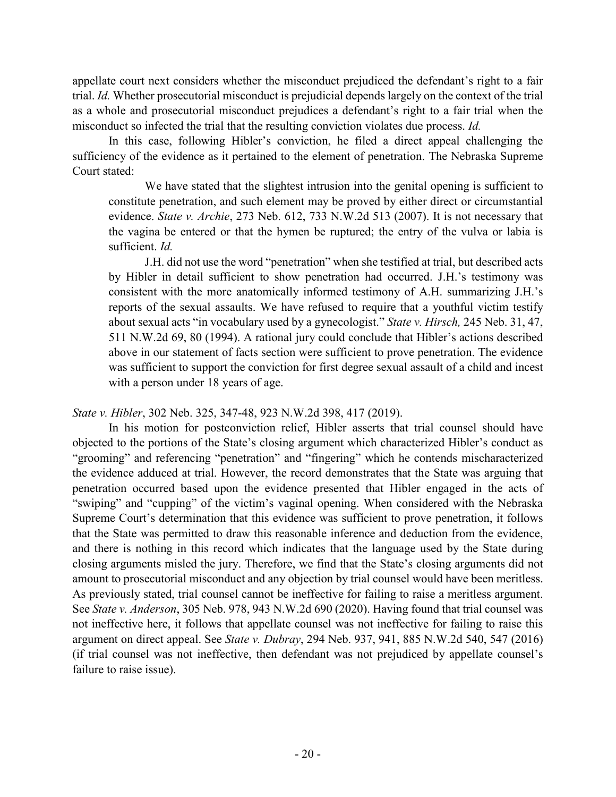appellate court next considers whether the misconduct prejudiced the defendant's right to a fair trial. *Id.* Whether prosecutorial misconduct is prejudicial depends largely on the context of the trial as a whole and prosecutorial misconduct prejudices a defendant's right to a fair trial when the misconduct so infected the trial that the resulting conviction violates due process. *Id.*

In this case, following Hibler's conviction, he filed a direct appeal challenging the sufficiency of the evidence as it pertained to the element of penetration. The Nebraska Supreme Court stated:

We have stated that the slightest intrusion into the genital opening is sufficient to constitute penetration, and such element may be proved by either direct or circumstantial evidence. *State v. Archie*, 273 Neb. 612, 733 N.W.2d 513 (2007). It is not necessary that the vagina be entered or that the hymen be ruptured; the entry of the vulva or labia is sufficient. *Id.*

J.H. did not use the word "penetration" when she testified at trial, but described acts by Hibler in detail sufficient to show penetration had occurred. J.H.'s testimony was consistent with the more anatomically informed testimony of A.H. summarizing J.H.'s reports of the sexual assaults. We have refused to require that a youthful victim testify about sexual acts "in vocabulary used by a gynecologist." *State v. Hirsch,* 245 Neb. 31, 47, 511 N.W.2d 69, 80 (1994). A rational jury could conclude that Hibler's actions described above in our statement of facts section were sufficient to prove penetration. The evidence was sufficient to support the conviction for first degree sexual assault of a child and incest with a person under 18 years of age.

*State v. Hibler*, 302 Neb. 325, 347-48, 923 N.W.2d 398, 417 (2019).

In his motion for postconviction relief, Hibler asserts that trial counsel should have objected to the portions of the State's closing argument which characterized Hibler's conduct as "grooming" and referencing "penetration" and "fingering" which he contends mischaracterized the evidence adduced at trial. However, the record demonstrates that the State was arguing that penetration occurred based upon the evidence presented that Hibler engaged in the acts of "swiping" and "cupping" of the victim's vaginal opening. When considered with the Nebraska Supreme Court's determination that this evidence was sufficient to prove penetration, it follows that the State was permitted to draw this reasonable inference and deduction from the evidence, and there is nothing in this record which indicates that the language used by the State during closing arguments misled the jury. Therefore, we find that the State's closing arguments did not amount to prosecutorial misconduct and any objection by trial counsel would have been meritless. As previously stated, trial counsel cannot be ineffective for failing to raise a meritless argument. See *State v. Anderson*, 305 Neb. 978, 943 N.W.2d 690 (2020). Having found that trial counsel was not ineffective here, it follows that appellate counsel was not ineffective for failing to raise this argument on direct appeal. See *State v. Dubray*, 294 Neb. 937, 941, 885 N.W.2d 540, 547 (2016) (if trial counsel was not ineffective, then defendant was not prejudiced by appellate counsel's failure to raise issue).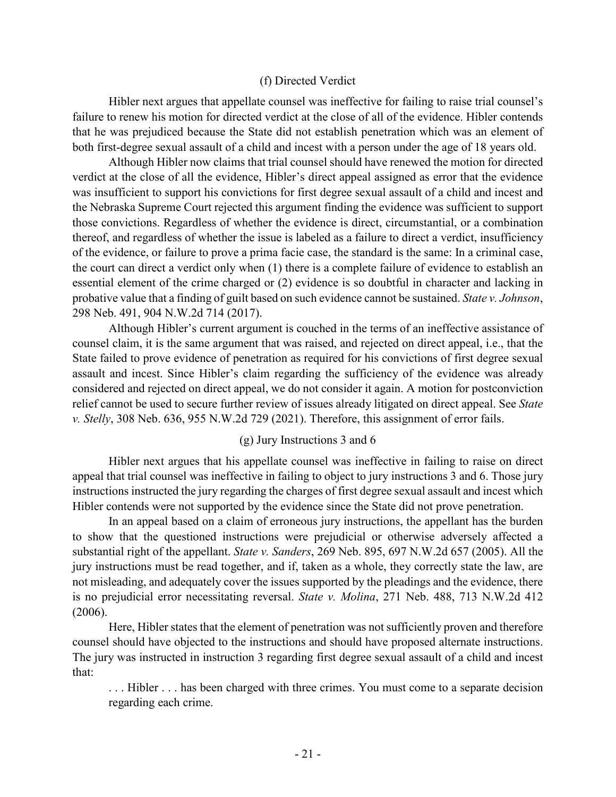#### (f) Directed Verdict

Hibler next argues that appellate counsel was ineffective for failing to raise trial counsel's failure to renew his motion for directed verdict at the close of all of the evidence. Hibler contends that he was prejudiced because the State did not establish penetration which was an element of both first-degree sexual assault of a child and incest with a person under the age of 18 years old.

Although Hibler now claims that trial counsel should have renewed the motion for directed verdict at the close of all the evidence, Hibler's direct appeal assigned as error that the evidence was insufficient to support his convictions for first degree sexual assault of a child and incest and the Nebraska Supreme Court rejected this argument finding the evidence was sufficient to support those convictions. Regardless of whether the evidence is direct, circumstantial, or a combination thereof, and regardless of whether the issue is labeled as a failure to direct a verdict, insufficiency of the evidence, or failure to prove a prima facie case, the standard is the same: In a criminal case, the court can direct a verdict only when (1) there is a complete failure of evidence to establish an essential element of the crime charged or (2) evidence is so doubtful in character and lacking in probative value that a finding of guilt based on such evidence cannot be sustained. *State v. Johnson*, 298 Neb. 491, 904 N.W.2d 714 (2017).

Although Hibler's current argument is couched in the terms of an ineffective assistance of counsel claim, it is the same argument that was raised, and rejected on direct appeal, i.e., that the State failed to prove evidence of penetration as required for his convictions of first degree sexual assault and incest. Since Hibler's claim regarding the sufficiency of the evidence was already considered and rejected on direct appeal, we do not consider it again. A motion for postconviction relief cannot be used to secure further review of issues already litigated on direct appeal. See *State v. Stelly*, 308 Neb. 636, 955 N.W.2d 729 (2021). Therefore, this assignment of error fails.

### (g) Jury Instructions 3 and 6

Hibler next argues that his appellate counsel was ineffective in failing to raise on direct appeal that trial counsel was ineffective in failing to object to jury instructions 3 and 6. Those jury instructions instructed the jury regarding the charges of first degree sexual assault and incest which Hibler contends were not supported by the evidence since the State did not prove penetration.

In an appeal based on a claim of erroneous jury instructions, the appellant has the burden to show that the questioned instructions were prejudicial or otherwise adversely affected a substantial right of the appellant. *State v. Sanders*, 269 Neb. 895, 697 N.W.2d 657 (2005). All the jury instructions must be read together, and if, taken as a whole, they correctly state the law, are not misleading, and adequately cover the issues supported by the pleadings and the evidence, there is no prejudicial error necessitating reversal. *State v. Molina*, 271 Neb. 488, 713 N.W.2d 412 (2006).

Here, Hibler states that the element of penetration was not sufficiently proven and therefore counsel should have objected to the instructions and should have proposed alternate instructions. The jury was instructed in instruction 3 regarding first degree sexual assault of a child and incest that:

. . . Hibler . . . has been charged with three crimes. You must come to a separate decision regarding each crime.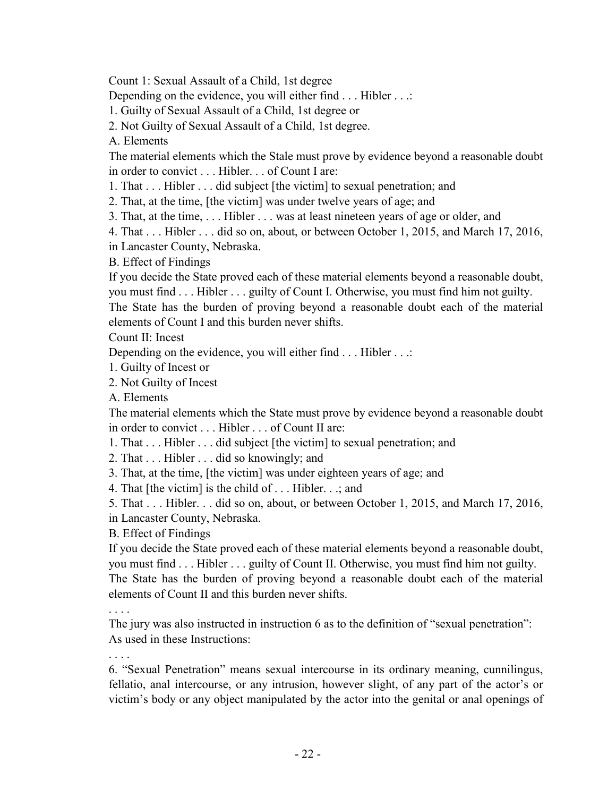Count 1: Sexual Assault of a Child, 1st degree

Depending on the evidence, you will either find . . . Hibler . . .:

1. Guilty of Sexual Assault of a Child, 1st degree or

2. Not Guilty of Sexual Assault of a Child, 1st degree.

A. Elements

The material elements which the Stale must prove by evidence beyond a reasonable doubt in order to convict . . . Hibler. . . of Count I are:

1. That . . . Hibler . . . did subject [the victim] to sexual penetration; and

2. That, at the time, [the victim] was under twelve years of age; and

3. That, at the time, . . . Hibler . . . was at least nineteen years of age or older, and

4. That . . . Hibler . . . did so on, about, or between October 1, 2015, and March 17, 2016,

in Lancaster County, Nebraska.

B. Effect of Findings

If you decide the State proved each of these material elements beyond a reasonable doubt, you must find . . . Hibler . . . guilty of Count I. Otherwise, you must find him not guilty.

The State has the burden of proving beyond a reasonable doubt each of the material elements of Count I and this burden never shifts.

Count II: Incest

Depending on the evidence, you will either find . . . Hibler . . .:

1. Guilty of Incest or

2. Not Guilty of Incest

A. Elements

The material elements which the State must prove by evidence beyond a reasonable doubt in order to convict . . . Hibler . . . of Count II are:

1. That . . . Hibler . . . did subject [the victim] to sexual penetration; and

2. That . . . Hibler . . . did so knowingly; and

3. That, at the time, [the victim] was under eighteen years of age; and

4. That [the victim] is the child of . . . Hibler. . .; and

5. That . . . Hibler. . . did so on, about, or between October 1, 2015, and March 17, 2016,

in Lancaster County, Nebraska.

B. Effect of Findings

If you decide the State proved each of these material elements beyond a reasonable doubt, you must find . . . Hibler . . . guilty of Count II. Otherwise, you must find him not guilty. The State has the burden of proving beyond a reasonable doubt each of the material elements of Count II and this burden never shifts.

. . . .

The jury was also instructed in instruction 6 as to the definition of "sexual penetration": As used in these Instructions:

6. "Sexual Penetration" means sexual intercourse in its ordinary meaning, cunnilingus, fellatio, anal intercourse, or any intrusion, however slight, of any part of the actor's or victim's body or any object manipulated by the actor into the genital or anal openings of